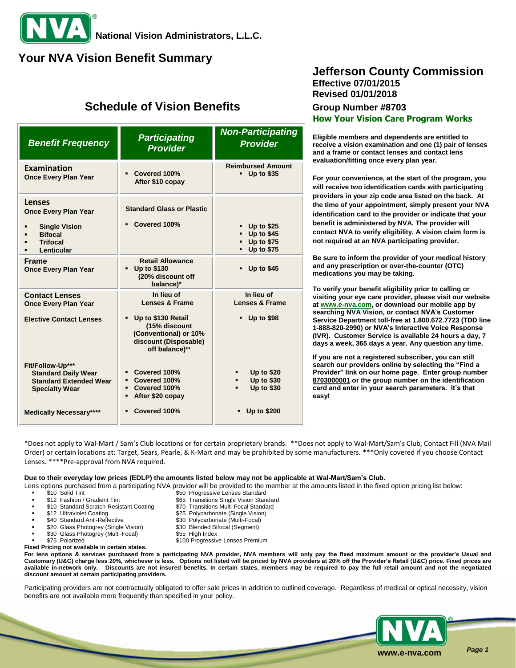# **Your NVA Vision Benefit Summary**

# **Schedule of Vision Benefits Group Number #8703**

| <b>Benefit Frequency</b>                                                                                                                   | <b>Participating</b><br><b>Provider</b>                                                                                                            | <b>Non-Participating</b><br><b>Provider</b>                                      |
|--------------------------------------------------------------------------------------------------------------------------------------------|----------------------------------------------------------------------------------------------------------------------------------------------------|----------------------------------------------------------------------------------|
| Examination<br><b>Once Every Plan Year</b>                                                                                                 | Covered 100%<br>$\blacksquare$<br>After \$10 copay                                                                                                 | <b>Reimbursed Amount</b><br>$-$ Up to \$35                                       |
| <b>Lenses</b><br><b>Once Every Plan Year</b><br><b>Single Vision</b><br><b>Bifocal</b><br><b>Trifocal</b><br>Lenticular                    | <b>Standard Glass or Plastic</b><br>Covered 100%                                                                                                   | <b>Up to \$25</b><br><b>Up to \$45</b><br><b>Up to \$75</b><br><b>Up to \$75</b> |
| <b>Frame</b><br><b>Once Every Plan Year</b>                                                                                                | <b>Retail Allowance</b><br><b>Up to \$130</b><br>(20% discount off<br>balance)*                                                                    | <b>Up to \$45</b>                                                                |
| <b>Contact Lenses</b><br><b>Once Every Plan Year</b><br><b>Elective Contact Lenses</b>                                                     | In lieu of<br><b>Lenses &amp; Frame</b><br>Up to \$130 Retail<br>(15% discount<br>(Conventional) or 10%<br>discount (Disposable)<br>off balance)** | In lieu of<br><b>Lenses &amp; Frame</b><br><b>Up to \$98</b>                     |
| Fit/Follow-Up***<br><b>Standard Daily Wear</b><br><b>Standard Extended Wear</b><br><b>Specialty Wear</b><br><b>Medically Necessary****</b> | Covered 100%<br>• Covered 100%<br>• Covered 100%<br>After \$20 copay<br>$\blacksquare$<br>Covered 100%                                             | <b>Up to \$20</b><br><b>Up to \$30</b><br>٠<br><b>Up to \$30</b><br>Up to \$200  |

## **Jefferson County Commission Effective 07/01/2015 Revised 01/01/2018**

**How Your Vision Care Program Works**

**Eligible members and dependents are entitled to receive a vision examination and one (1) pair of lenses and a frame or contact lenses and contact lens evaluation/fitting once every plan year.**

**For your convenience, at the start of the program, you will receive two identification cards with participating providers in your zip code area listed on the back. At the time of your appointment, simply present your NVA identification card to the provider or indicate that your benefit is administered by NVA. The provider will contact NVA to verify eligibility. A vision claim form is not required at an NVA participating provider.**

**Be sure to inform the provider of your medical history and any prescription or over-the-counter (OTC) medications you may be taking.**

**To verify your benefit eligibility prior to calling or visiting your eye care provider, please visit our website a[t www.e-nva.com,](http://www.e-nva.com/) or download our mobile app by searching NVA Vision, or contact NVA's Customer Service Department toll-free at 1.800.672.7723 (TDD line 1-888-820-2990) or NVA's Interactive Voice Response (IVR). Customer Service is available 24 hours a day, 7 days a week, 365 days a year. Any question any time.**

**If you are not a registered subscriber, you can still search our providers online by selecting the "Find a Provider" link on our home page. Enter group number 8703000001 or the group number on the identification card and enter in your search parameters. It's that easy!**

\*Does not apply to Wal-Mart / Sam's Club locations or for certain proprietary brands. \*\*Does not apply to Wal-Mart/Sam's Club, Contact Fill (NVA Mail Order) or certain locations at: Target, Sears, Pearle, & K-Mart and may be prohibited by some manufacturers. \*\*\*Only covered if you choose Contact Lenses. \*\*\*\*Pre-approval from NVA required.

### **Due to their everyday low prices (EDLP) the amounts listed below may not be applicable at Wal-Mart/Sam's Club.**

\$25 Polycarbonate (Single Vision)

Lens options purchased from a participating NVA provider will be provided to the member at the amounts listed in the fixed option pricing list below:

- \$10 Solid Tint \$50 Progressive Lenses Standard
- \$12 Fashion / Gradient Tint \$65 Transitions Single Vision Standard
- \$10 Standard Scratch-Resistant Coating \$70 Transitions Multi-Focal Standard<br>\$12 Ultraviolet Coating \$825 Polycarbonate (Single Vision)
- 
- \$30 Polycarbonate (Multi-Focal)<br>\$20 Glass Photogrey (Single Vision) \$30 Blended Bifocal (Segment)
- \$20 Glass Photogrey (Single Vision) \$30 Blended Bifor \$30 Glass Photogrey (Multi-Focal) \$55 High Index \$30 Glass Photogrey (Multi-Focal)
- 
- \$75 Polarized \$100 Progressive Lenses Premium

**Fixed Pricing not available in certain states. For lens options & services purchased from a participating NVA provider, NVA members will only pay the fixed maximum amount or the provider's Usual and Customary (U&C) charge less 20%, whichever is less. Options not listed will be priced by NVA providers at 20% off the Provider's Retail (U&C) price. Fixed prices are available in-network only. Discounts are not insured benefits. In certain states, members may be required to pay the full retail amount and not the negotiated discount amount at certain participating providers.**

Participating providers are not contractually obligated to offer sale prices in addition to outlined coverage. Regardless of medical or optical necessity, vision benefits are not available more frequently than specified in your policy.